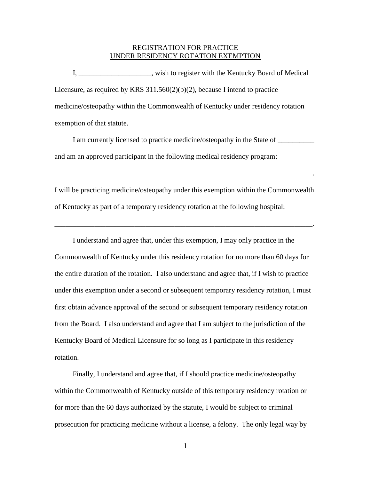## REGISTRATION FOR PRACTICE UNDER RESIDENCY ROTATION EXEMPTION

 I, \_\_\_\_\_\_\_\_\_\_\_\_\_\_\_\_\_\_\_\_, wish to register with the Kentucky Board of Medical Licensure, as required by KRS  $311.560(2)(b)(2)$ , because I intend to practice medicine/osteopathy within the Commonwealth of Kentucky under residency rotation exemption of that statute.

I am currently licensed to practice medicine/osteopathy in the State of \_\_\_\_\_\_\_\_\_ and am an approved participant in the following medical residency program:

\_\_\_\_\_\_\_\_\_\_\_\_\_\_\_\_\_\_\_\_\_\_\_\_\_\_\_\_\_\_\_\_\_\_\_\_\_\_\_\_\_\_\_\_\_\_\_\_\_\_\_\_\_\_\_\_\_\_\_\_\_\_\_\_\_\_\_\_\_\_\_.

I will be practicing medicine/osteopathy under this exemption within the Commonwealth of Kentucky as part of a temporary residency rotation at the following hospital:

\_\_\_\_\_\_\_\_\_\_\_\_\_\_\_\_\_\_\_\_\_\_\_\_\_\_\_\_\_\_\_\_\_\_\_\_\_\_\_\_\_\_\_\_\_\_\_\_\_\_\_\_\_\_\_\_\_\_\_\_\_\_\_\_\_\_\_\_\_\_\_.

 I understand and agree that, under this exemption, I may only practice in the Commonwealth of Kentucky under this residency rotation for no more than 60 days for the entire duration of the rotation. I also understand and agree that, if I wish to practice under this exemption under a second or subsequent temporary residency rotation, I must first obtain advance approval of the second or subsequent temporary residency rotation from the Board. I also understand and agree that I am subject to the jurisdiction of the Kentucky Board of Medical Licensure for so long as I participate in this residency rotation.

 Finally, I understand and agree that, if I should practice medicine/osteopathy within the Commonwealth of Kentucky outside of this temporary residency rotation or for more than the 60 days authorized by the statute, I would be subject to criminal prosecution for practicing medicine without a license, a felony. The only legal way by